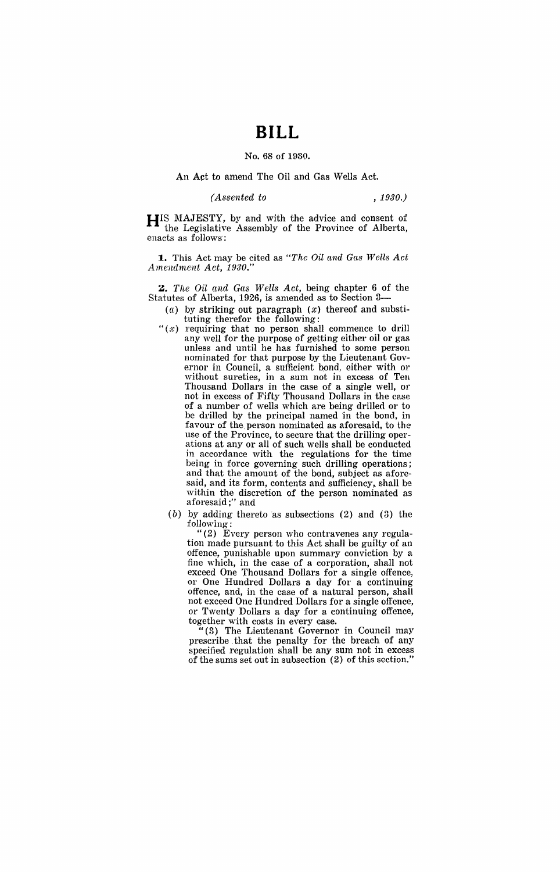## **BILL**

No. 68 of 1930.

## An Act to amend The Oil and Gas Wells Act.

## *(Assented to , 1930.)*

**HIS** MAJESTY, by and with the advice and consent of the Legislative Assembly of the Province of Alberta, enacts as follows':

**1..** This Act may be cited as *"The Oil and Gas Wells Act Amendment Act, 1930."* 

**Z.** *The Oil and Gas Wells Act,* being chapter 6 of the Statutes of Alberta, 1926, is amended as to Section 3-

- (a) by striking out paragraph (x) thereof and substituting therefor the following:
- " $(x)$  requiring that no person shall commence to drill any well for the purpose of getting either oil or gas unless and until he has furnished to some person nominated for that purpose by the Lieutenant Governor in Council, a sufficient bond, either with or without sureties, in a sum not in excess of Ten Thousand Dollars in the case of a single well, or not in excess of Fifty Thousand Dollars in the case of a number of wells which are being drilled or to be drilled by the principal named in the bond, in favour of the person nominated as aforesaid, to the use of the Province, to secure that the drilling operations at any or all of such wells shall be conducted in accordance with the regulations for the time being in force governing such drilling operations; and that the amount of the bond, subject as aforesaid, and its form, contents and sufficiency, shall be within the discretion of the person nominated as aforesaid;" and
	- $(b)$  by adding thereto as subsections (2) and (3) the following:

"(2) Every person who contravenes any regulation made pursuant to this Act shall be guilty of an offence, punishable upon summary conviction by a fine which, in the case of a corporation, shall not exceed One Thousand Dollars for a single offence, or One Hundred Dollars a day for a continuing offence, and, in the case of a natural person, shall not exceed One Hundred Dollars for a single offence, or Twenty Dollars a day for a continuing offence,

 $t''(3)$  The Lieutenant Governor in Council may prescribe .that the penalty for the breach of any specified regulation shall be any sum not in excess of the sums set out in subsection (2) of this section."